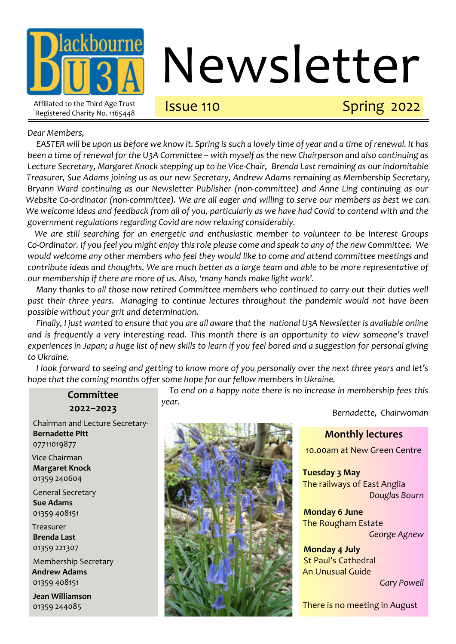

# Newsletter

## Issue 110 Spring 2022

#### *Dear Members,*

*EASTER will be upon us before we know it. Spring is such a lovely time of year and a time of renewal. It has been a time of renewal for the U3A Committee – with myself as the new Chairperson and also continuing as Lecture Secretary, Margaret Knock stepping up to be Vice-Chair, Brenda Last remaining as our indomitable Treasurer, Sue Adams joining us as our new Secretary, Andrew Adams remaining as Membership Secretary, Bryann Ward continuing as our Newsletter Publisher (non-committee) and Anne Ling continuing as our Website Co-ordinator (non-committee). We are all eager and willing to serve our members as best we can. We welcome ideas and feedback from all of you, particularly as we have had Covid to contend with and the government regulations regarding Covid are now relaxing considerably.*

*We are still searching for an energetic and enthusiastic member to volunteer to be Interest Groups Co-Ordinator. If you feel you might enjoy this role please come and speak to any of the new Committee. We would welcome any other members who feel they would like to come and attend committee meetings and contribute ideas and thoughts. We are much better as a large team and able to be more representative of our membership if there are more of us. Also, 'many hands make light work'.*

*Many thanks to all those now retired Committee members who continued to carry out their duties well past their three years. Managing to continue lectures throughout the pandemic would not have been possible without your grit and determination.*

*Finally, I just wanted to ensure that you are all aware that the national U3A Newsletter is available online and is frequently a very interesting read. This month there is an opportunity to view someone's travel experiences in Japan; a huge list of new skills to learn if you feel bored and a suggestion for personal giving to Ukraine.*

*I look forward to seeing and getting to know more of you personally over the next three years and let's hope that the coming months offer some hope for our fellow members in Ukraine.*

> *To end on a happy note there is no increase in membership fees this year.*

Chairman and Lecture Secretary-**Bernadette Pitt** 07711019877 Vice Chairman **Margaret Knock** 01359 240604 General Secretary **Sue Adams** 01359 408151 Treasurer **Brenda Last** 01359 221307 Membership Secretary **Andrew Adams** 01359 408151 **Jean Williamson** 01359 244085

**Committee 2022–2023**



*Bernadette, Chairwoman*

#### **Monthly lectures**

10.00am at New Green Centre

**Tuesday 3 May** The railways of East Anglia *Douglas Bourn*

**Monday 6 June** The Rougham Estate *George Agnew*

**Monday 4 July** St Paul's Cathedral An Unusual Guide

*Gary Powell*

There is no meeting in August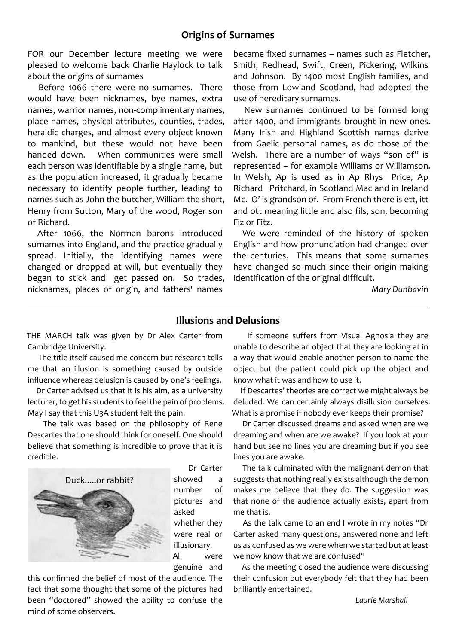FOR our December lecture meeting we were pleased to welcome back Charlie Haylock to talk about the origins of surnames

Before 1066 there were no surnames. There would have been nicknames, bye names, extra names, warrior names, non-complimentary names, place names, physical attributes, counties, trades, heraldic charges, and almost every object known to mankind, but these would not have been handed down. When communities were small each person was identifiable by a single name, but as the population increased, it gradually became necessary to identify people further, leading to names such as John the butcher, William the short, Henry from Sutton, Mary of the wood, Roger son of Richard.

After 1066, the Norman barons introduced surnames into England, and the practice gradually spread. Initially, the identifying names were changed or dropped at will, but eventually they began to stick and get passed on. So trades, nicknames, places of origin, and fathers' names

became fixed surnames – names such as Fletcher, Smith, Redhead, Swift, Green, Pickering, Wilkins and Johnson. By 1400 most English families, and those from Lowland Scotland, had adopted the use of hereditary surnames.

New surnames continued to be formed long after 1400, and immigrants brought in new ones. Many Irish and Highland Scottish names derive from Gaelic personal names, as do those of the Welsh. There are a number of ways "son of" is represented – for example Williams or Williamson. In Welsh, Ap is used as in Ap Rhys Price, Ap Richard Pritchard, in Scotland Mac and in Ireland Mc. O' is grandson of. From French there is ett, itt and ott meaning little and also fils, son, becoming Fiz or Fitz.

We were reminded of the history of spoken English and how pronunciation had changed over the centuries. This means that some surnames have changed so much since their origin making identification of the original difficult.

*Mary Dunbavin*

#### **Illusions and Delusions**

THE MARCH talk was given by Dr Alex Carter from Cambridge University.

 The title itself caused me concern but research tells me that an illusion is something caused by outside influence whereas delusion is caused by one's feelings.

 Dr Carter advised us that it is his aim, as a university lecturer, to get his students to feel the pain of problems. May I say that this U3A student felt the pain.

 The talk was based on the philosophy of Rene Descartes that one should think for oneself. One should believe that something is incredible to prove that it is credible.



 Dr Carter showed a number of pictures and asked whether they were real or illusionary. All were genuine and

this confirmed the belief of most of the audience. The fact that some thought that some of the pictures had been "doctored" showed the ability to confuse the mind of some observers.

 If someone suffers from Visual Agnosia they are unable to describe an object that they are looking at in a way that would enable another person to name the object but the patient could pick up the object and know what it was and how to use it.

 If Descartes' theories are correct we might always be deluded. We can certainly always disillusion ourselves. What is a promise if nobody ever keeps their promise?

 Dr Carter discussed dreams and asked when are we dreaming and when are we awake? If you look at your hand but see no lines you are dreaming but if you see lines you are awake.

 The talk culminated with the malignant demon that suggests that nothing really exists although the demon makes me believe that they do. The suggestion was that none of the audience actually exists, apart from me that is.

 As the talk came to an end I wrote in my notes "Dr Carter asked many questions, answered none and left us as confused as we were when we started but at least we now know that we are confused"

 As the meeting closed the audience were discussing their confusion but everybody felt that they had been brilliantly entertained.

*Laurie Marshall*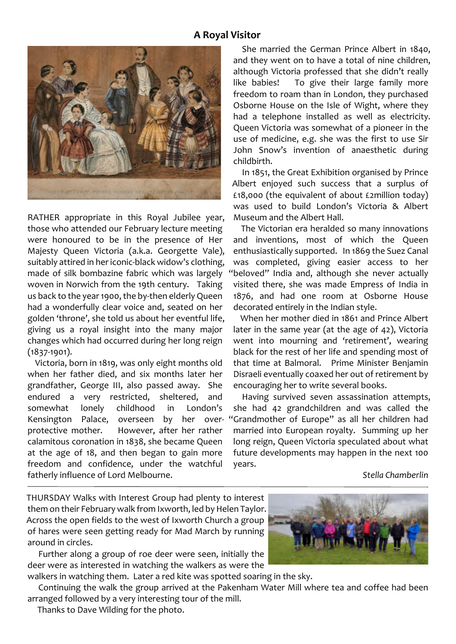#### **A Royal Visitor**



RATHER appropriate in this Royal Jubilee year, those who attended our February lecture meeting were honoured to be in the presence of Her Majesty Queen Victoria (a.k.a. Georgette Vale), suitably attired in her iconic-black widow's clothing, made of silk bombazine fabric which was largely woven in Norwich from the 19th century. Taking us back to the year 1900, the by-then elderly Queen had a wonderfully clear voice and, seated on her golden 'throne', she told us about her eventful life, giving us a royal insight into the many major changes which had occurred during her long reign (1837-1901).

Victoria, born in 1819, was only eight months old when her father died, and six months later her grandfather, George III, also passed away. She endured a very restricted, sheltered, and somewhat lonely childhood in London's Kensington Palace, overseen by her overprotective mother. However, after her rather calamitous coronation in 1838, she became Queen at the age of 18, and then began to gain more freedom and confidence, under the watchful fatherly influence of Lord Melbourne.

She married the German Prince Albert in 1840, and they went on to have a total of nine children, although Victoria professed that she didn't really like babies! To give their large family more freedom to roam than in London, they purchased Osborne House on the Isle of Wight, where they had a telephone installed as well as electricity. Queen Victoria was somewhat of a pioneer in the use of medicine, e.g. she was the first to use Sir John Snow's invention of anaesthetic during childbirth.

In 1851, the Great Exhibition organised by Prince Albert enjoyed such success that a surplus of £18,000 (the equivalent of about £2million today) was used to build London's Victoria & Albert Museum and the Albert Hall.

The Victorian era heralded so many innovations and inventions, most of which the Queen enthusiastically supported. In 1869 the Suez Canal was completed, giving easier access to her "beloved" India and, although she never actually visited there, she was made Empress of India in 1876, and had one room at Osborne House decorated entirely in the Indian style.

When her mother died in 1861 and Prince Albert later in the same year (at the age of 42), Victoria went into mourning and 'retirement', wearing black for the rest of her life and spending most of that time at Balmoral. Prime Minister Benjamin Disraeli eventually coaxed her out of retirement by encouraging her to write several books.

Having survived seven assassination attempts, she had 42 grandchildren and was called the "Grandmother of Europe" as all her children had married into European royalty. Summing up her long reign, Queen Victoria speculated about what future developments may happen in the next 100 years.

*Stella Chamberlin*

THURSDAY Walks with Interest Group had plenty to interest them on their February walk from Ixworth, led by Helen Taylor. Across the open fields to the west of Ixworth Church a group of hares were seen getting ready for Mad March by running around in circles.

Further along a group of roe deer were seen, initially the deer were as interested in watching the walkers as were the



walkers in watching them. Later a red kite was spotted soaring in the sky.

Continuing the walk the group arrived at the Pakenham Water Mill where tea and coffee had been arranged followed by a very interesting tour of the mill.

Thanks to Dave Wilding for the photo.